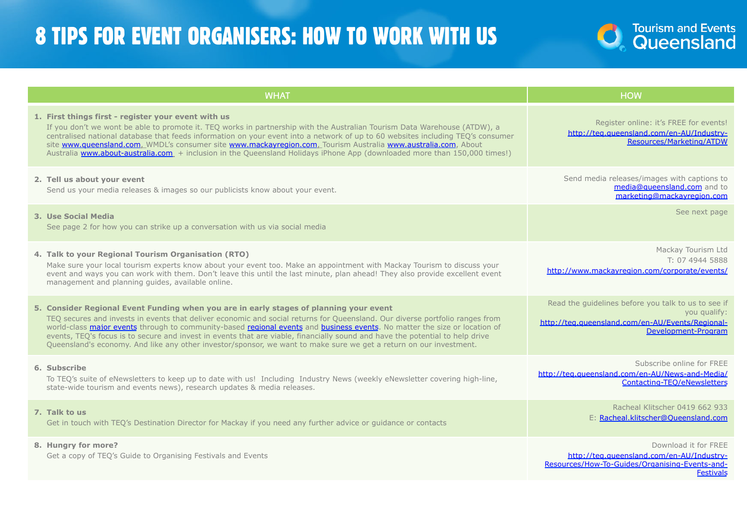## 8 TIPS FOR EVENT ORGANISERS: HOW TO WORK WITH US

| <b>WHAT</b>                                                                                                                                                                                                                                                                                                                                                                                                                                                                                                                                                                                                 | <b>HOW</b>                                                                                                                                     |
|-------------------------------------------------------------------------------------------------------------------------------------------------------------------------------------------------------------------------------------------------------------------------------------------------------------------------------------------------------------------------------------------------------------------------------------------------------------------------------------------------------------------------------------------------------------------------------------------------------------|------------------------------------------------------------------------------------------------------------------------------------------------|
| 1. First things first - register your event with us<br>If you don't we wont be able to promote it. TEO works in partnership with the Australian Tourism Data Warehouse (ATDW), a<br>centralised national database that feeds information on your event into a network of up to 60 websites including TEO's consumer<br>site www.queensland.com, WMDL's consumer site www.mackayregion.com, Tourism Australia www.australia.com, About<br>Australia www.about-australia.com. + inclusion in the Queensland Holidays iPhone App (downloaded more than 150,000 times!)                                         | Register online: it's FREE for events!<br>http://teg.gueensland.com/en-AU/Industry-<br>Resources/Marketing/ATDW                                |
| 2. Tell us about your event<br>Send us your media releases & images so our publicists know about your event.                                                                                                                                                                                                                                                                                                                                                                                                                                                                                                | Send media releases/images with captions to<br>media@queensland.com and to<br>marketing@mackavregion.com                                       |
| 3. Use Social Media<br>See page 2 for how you can strike up a conversation with us via social media                                                                                                                                                                                                                                                                                                                                                                                                                                                                                                         | See next page                                                                                                                                  |
| 4. Talk to your Regional Tourism Organisation (RTO)<br>Make sure your local tourism experts know about your event too. Make an appointment with Mackay Tourism to discuss your<br>event and ways you can work with them. Don't leave this until the last minute, plan ahead! They also provide excellent event<br>management and planning quides, available online.                                                                                                                                                                                                                                         | Mackay Tourism Ltd<br>T: 07 4944 5888<br>http://www.mackayregion.com/corporate/events/                                                         |
| 5. Consider Regional Event Funding when you are in early stages of planning your event<br>TEO secures and invests in events that deliver economic and social returns for Queensland. Our diverse portfolio ranges from<br>world-class major events through to community-based regional events and business events. No matter the size or location of<br>events, TEQ's focus is to secure and invest in events that are viable, financially sound and have the potential to help drive<br>Queensland's economy. And like any other investor/sponsor, we want to make sure we get a return on our investment. | Read the guidelines before you talk to us to see if<br>you qualify:<br>http://teg.gueensland.com/en-AU/Events/Regional-<br>Development-Program |
| 6. Subscribe<br>To TEO's suite of eNewsletters to keep up to date with us! Including Industry News (weekly eNewsletter covering high-line,<br>state-wide tourism and events news), research updates & media releases.                                                                                                                                                                                                                                                                                                                                                                                       | Subscribe online for FREE<br>http://teg.gueensland.com/en-AU/News-and-Media/<br>Contacting-TEO/eNewsletters                                    |
| 7. Talk to us<br>Get in touch with TEQ's Destination Director for Mackay if you need any further advice or guidance or contacts                                                                                                                                                                                                                                                                                                                                                                                                                                                                             | Racheal Klitscher 0419 662 933<br>E: Racheal.klitscher@Oueensland.com                                                                          |
| 8. Hungry for more?<br>Get a copy of TEQ's Guide to Organising Festivals and Events                                                                                                                                                                                                                                                                                                                                                                                                                                                                                                                         | Download it for FREE<br>http://teg.gueensland.com/en-AU/Industry-<br>Resources/How-To-Guides/Organising-Events-and-<br><b>Festivals</b>        |